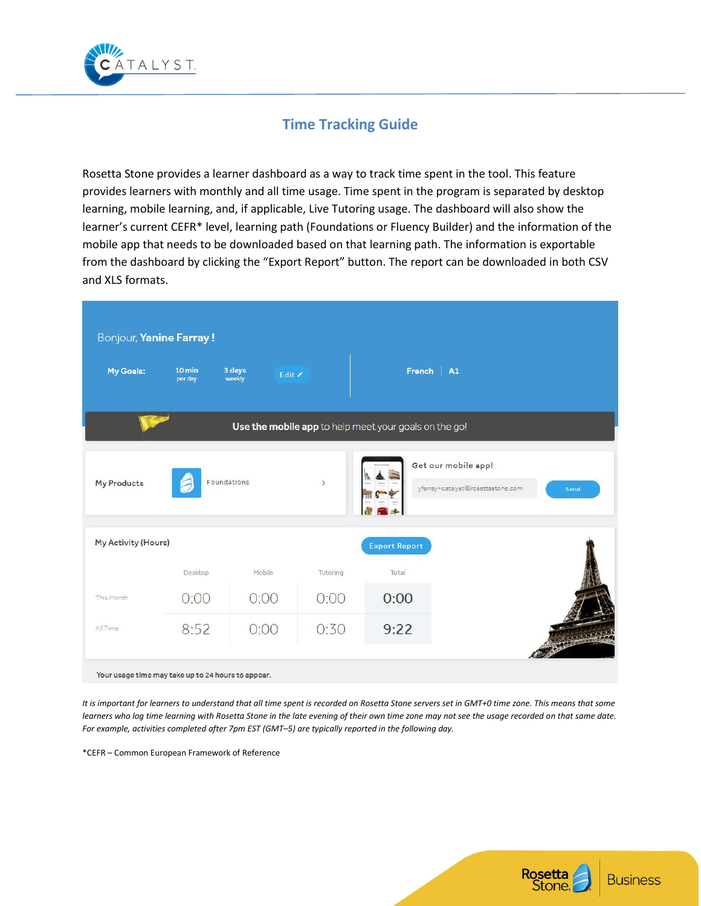

# **Time Tracking Guide**

Rosetta Stone provides a learner dashboard as a way to track time spent in the tool. This feature provides learners with monthly and all time usage. Time spent in the program is separated by desktop learning, mobile learning, and, if applicable, Live Tutoring usage. The dashboard will also show the learner's current CEFR\* level, learning path (Foundations or Fluency Builder) and the information of the mobile app that needs to be downloaded based on that learning path. The information is exportable from the dashboard by clicking the "Export Report" button. The report can be downloaded in both CSV and XLS formats.

| Bonjour, Yanine Farray!                            |                   |                            |               |                                                       |                                                          |      |
|----------------------------------------------------|-------------------|----------------------------|---------------|-------------------------------------------------------|----------------------------------------------------------|------|
| <b>My Goals:</b>                                   | 10 min<br>per day | 3 days<br>Edit /<br>weekly |               | French   A1                                           |                                                          |      |
|                                                    |                   |                            |               | Use the mobile app to help meet your goals on the go! |                                                          |      |
| <b>My Products</b>                                 |                   | Foundations                | $\rightarrow$ |                                                       | Get our mobile app!<br>yfarray+catalyst@rosettastone.com | Send |
| My Activity (Hours)                                |                   |                            |               | <b>Export Report</b>                                  |                                                          |      |
|                                                    | Desktop           | Mobile                     | Tutoring      | Total                                                 |                                                          |      |
| This Month                                         | 0:00              | 0:00                       | 0:00          | 0:00                                                  |                                                          |      |
| All Time                                           | 8:52              | 0:00                       | 0:30          | 9:22                                                  |                                                          |      |
| Your usage time may take up to 24 hours to appear. |                   |                            |               |                                                       |                                                          |      |

*It is important for learners to understand that all time spent is recorded on Rosetta Stone servers set in GMT+0 time zone. This means that some learners who log time learning with Rosetta Stone in the late evening of their own time zone may not see the usage recorded on that same date. For example, activities completed after 7pm EST (GMT–5) are typically reported in the following day.*

\*CEFR – Common European Framework of Reference

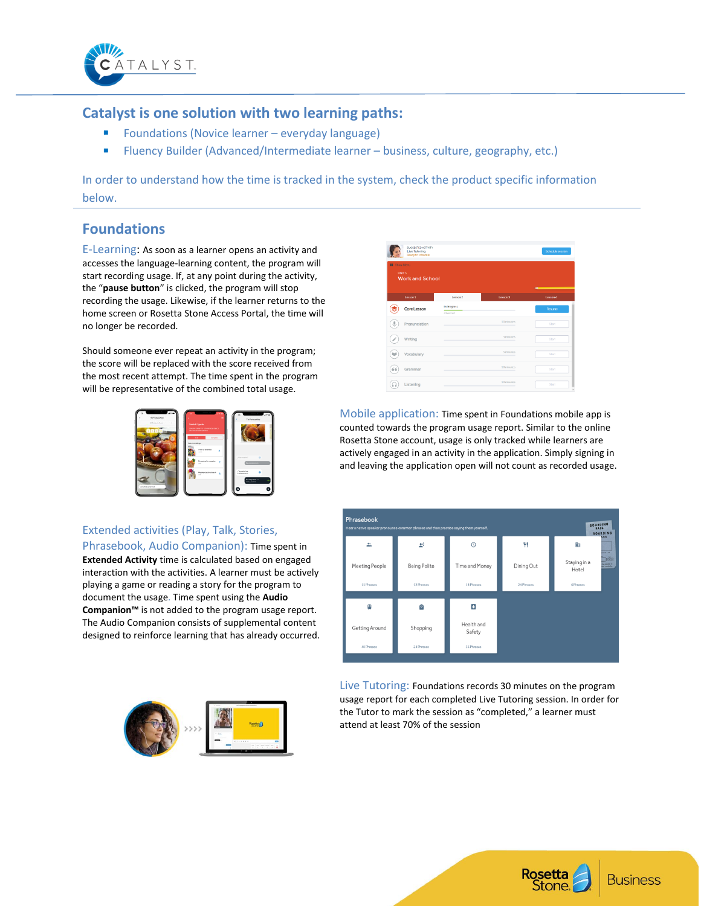

### **Catalyst is one solution with two learning paths:**

- Foundations (Novice learner everyday language)
- Fluency Builder (Advanced/Intermediate learner business, culture, geography, etc.)

In order to understand how the time is tracked in the system, check the product specific information below.

## **Foundations**

E-Learning: As soon as a learner opens an activity and accesses the language-learning content, the program will start recording usage. If, at any point during the activity, the "**pause button**" is clicked, the program will stop recording the usage. Likewise, if the learner returns to the home screen or Rosetta Stone Access Portal, the time will no longer be recorded.

Should someone ever repeat an activity in the program; the score will be replaced with the score received from the most recent attempt. The time spent in the program will be representative of the combined total usage.



### Extended activities (Play, Talk, Stories,

Phrasebook, Audio Companion): Time spent in **Extended Activity** time is calculated based on engaged interaction with the activities. A learner must be actively playing a game or reading a story for the program to document the usage. Time spent using the **Audio Companion™** is not added to the program usage report. The Audio Companion consists of supplemental content designed to reinforce learning that has already occurred.



|                     | <b>SUGGESTED ACTIVITY</b><br><b>Live Tutoring</b><br>Ready to schedule |                           |            | Schedule session                   |
|---------------------|------------------------------------------------------------------------|---------------------------|------------|------------------------------------|
| <b>EE</b> Show Mecu | UNIT3<br><b>Work and School</b>                                        |                           |            | $\sim$ $\sim$ $\sim$ $\sim$ $\sim$ |
|                     | Lesson 1                                                               | Lesson <sub>2</sub>       | Lesson 3   | Lesson 4                           |
|                     | Core Lesson                                                            | In Progress<br>41 correct |            | ٠<br>Resume                        |
| $\mathbb{J}$        | Pronunciation                                                          |                           | 10 minutes | Start                              |
| $\mathcal{S}$       | Writing                                                                |                           | 5 minutes  | Start                              |
| M                   | Vocabulary                                                             |                           | S minutes. | Start                              |
| 66                  | Grammar                                                                |                           | 10 minutes | Start                              |
| ×                   | Listening                                                              |                           | 10 minutes | Start                              |

Mobile application: Time spent in Foundations mobile app is counted towards the program usage report. Similar to the online Rosetta Stone account, usage is only tracked while learners are actively engaged in an activity in the application. Simply signing in and leaving the application open will not count as recorded usage.



Live Tutoring: Foundations records 30 minutes on the program usage report for each completed Live Tutoring session. In order for the Tutor to mark the session as "completed," a learner must attend at least 70% of the session